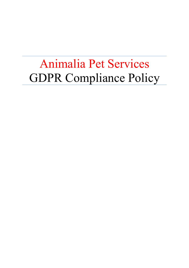# Animalia Pet Services GDPR Compliance Policy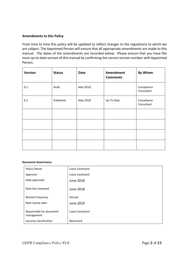### **Amendments to this Policy**

From time to time this policy will be updated to reflect changes to the regulations to which we are subject. The Appointed Person will ensure that all appropriate amendments are made to this manual. The dates of the amendments are recorded below. Please ensure that you have the most up-to-date version of this manual by confirming the correct version number with Appointed Person.

| Version | <b>Status</b> | <b>Date</b> | Amendment<br><b>Comments</b> | By Whom                  |
|---------|---------------|-------------|------------------------------|--------------------------|
| $0.1\,$ | Draft         | May 2018    |                              | Compliance<br>Consultant |
| 0.2     | Published     | May 2018    | Up To Date                   | Compliance<br>Consultant |
|         |               |             |                              |                          |
|         |               |             |                              |                          |
|         |               |             |                              |                          |
|         |               |             |                              |                          |

#### **Document Governance**

| Policy Owner                           | Liana Cavalcanti |
|----------------------------------------|------------------|
| Approver                               | Liana Cavalcanti |
| Date approved                          | June 2018        |
| Date last reviewed                     | June 2018        |
| Review frequency                       | Annual           |
| Next review date                       | June 2019        |
| Responsible for document<br>management | Liana Cavalcanti |
| Security classification                | Restricted       |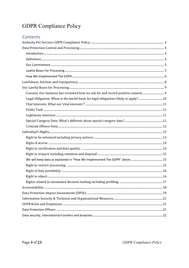# Contents

| Consent: Our business has reviewed how we ask for and record positive consent 9     |  |  |  |
|-------------------------------------------------------------------------------------|--|--|--|
| Legal Obligation: When is the lawful basis for legal obligations likely to apply?10 |  |  |  |
|                                                                                     |  |  |  |
|                                                                                     |  |  |  |
|                                                                                     |  |  |  |
|                                                                                     |  |  |  |
|                                                                                     |  |  |  |
|                                                                                     |  |  |  |
|                                                                                     |  |  |  |
|                                                                                     |  |  |  |
|                                                                                     |  |  |  |
|                                                                                     |  |  |  |
|                                                                                     |  |  |  |
|                                                                                     |  |  |  |
|                                                                                     |  |  |  |
|                                                                                     |  |  |  |
|                                                                                     |  |  |  |
|                                                                                     |  |  |  |
|                                                                                     |  |  |  |
|                                                                                     |  |  |  |
|                                                                                     |  |  |  |
|                                                                                     |  |  |  |
|                                                                                     |  |  |  |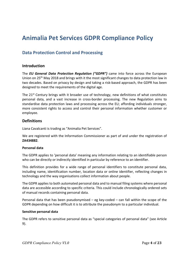# **Animalia Pet Services GDPR Compliance Policy**

# **Data Protection Control and Processing**

### **Introduction**

The *EU General Data Protection Regulation ("GDPR")* came into force across the European Union on 25th May 2018 and brings with it the most significant changes to data protection law in two decades. Based on privacy by design and taking a risk-based approach, the GDPR has been designed to meet the requirements of the digital age.

The  $21<sup>st</sup>$  Century brings with it broader use of technology, new definitions of what constitutes personal data, and a vast increase in cross-border processing. The new Regulation aims to standardise data protection laws and processing across the EU; affording individuals stronger, more consistent rights to access and control their personal information whether customer or employee.

# **Definitions**

Liana Cavalcanti is trading as "Animalia Pet Services".

We are registered with the Information Commissioner as part of and under the registration of **ZA434882**.

### **Personal data**

The GDPR applies to 'personal data' meaning any information relating to an identifiable person who can be directly or indirectly identified in particular by reference to an identifier.

This definition provides for a wide range of personal identifiers to constitute personal data, including name, identification number, location data or online identifier, reflecting changes in technology and the way organisations collect information about people.

The GDPR applies to both automated personal data and to manual filing systems where personal data are accessible according to specific criteria. This could include chronologically ordered sets of manual records containing personal data.

Personal data that has been pseudonymised – eg key-coded – can fall within the scope of the GDPR depending on how difficult it is to attribute the pseudonym to a particular individual.

#### **Sensitive personal data**

The GDPR refers to sensitive personal data as "special categories of personal data" (see Article 9).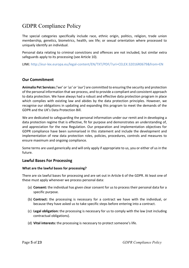The special categories specifically include race, ethnic origin, politics, religion, trade union membership, genetics, biometrics, health, sex life; or sexual orientation where processed to uniquely identify an individual.

Personal data relating to criminal convictions and offences are not included, but similar extra safeguards apply to its processing (see Article 10).

LINK: http://eur-lex.europa.eu/legal-content/EN/TXT/PDF/?uri=CELEX:32016R0679&from=EN

# **Our Commitment**

**Animalia Pet Services***('we' or 'us' or 'our')* are committed to ensuring the security and protection of the personal information that we process, and to provide a compliant and consistent approach to data protection. We have always had a robust and effective data protection program in place which complies with existing law and abides by the data protection principles. However, we recognise our obligations in updating and expanding this program to meet the demands of the GDPR and the UK's Data Protection Bill.

We are dedicated to safeguarding the personal information under our remit and in developing a data protection regime that is effective, fit for purpose and demonstrates an understanding of, and appreciation for the new Regulation. Our preparation and implementation objectives for GDPR compliance have been summarised in this statement and include the development and implementation of new data protection roles, policies, procedures, controls and measures to ensure maximum and ongoing compliance.

Some terms are used generically and will only apply if appropriate to us, you or either of us in the future.

# **Lawful Bases For Processing**

### **What are the lawful bases for processing?**

There are six lawful bases for processing and are set out in Article 6 of the GDPR. At least one of these must apply whenever we process personal data:

- (a) **Consent:** the individual has given clear consent for us to process their personal data for a specific purpose.
- (b) **Contract:** the processing is necessary for a contract we have with the individual, or because they have asked us to take specific steps before entering into a contract.
- (c) **Legal obligation:** the processing is necessary for us to comply with the law (not including contractual obligations).
- (d) **Vital interests:** the processing is necessary to protect someone's life.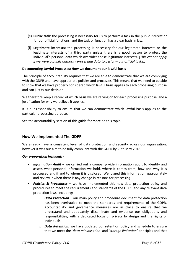- (e) **Public task:** the processing is necessary for us to perform a task in the public interest or for our official functions, and the task or function has a clear basis in law.
- (f) **Legitimate interests:** the processing is necessary for our legitimate interests or the legitimate interests of a third party unless there is a good reason to protect the individual's personal data which overrides those legitimate interests*. (This cannot apply if we were a public authority processing data to perform our official tasks.)*

### **Documenting Lawful Processes: How we document our lawful basis**

The principle of accountability requires that we are able to demonstrate that we are complying with the GDPR and have appropriate policies and processes. This means that we need to be able to show that we have properly considered which lawful basis applies to each processing purpose and can justify our decision.

We therefore keep a record of which basis we are relying on for each processing purpose, and a justification for why we believe it applies.

It is our responsibility to ensure that we can demonstrate which lawful basis applies to the particular processing purpose.

See the accountability section of this guide for more on this topic.

# **How We Implemented The GDPR**

We already have a consistent level of data protection and security across our organisation, however it was our aim to be fully compliant with the GDPR by 25th May 2018.

### *Our preparation included: -*

- *Information Audit* we carried out a company-wide information audit to identify and assess what personal information we hold, where it comes from, how and why it is processed and if and to whom it is disclosed. We logged this information appropriately and review it when there is any change in reasons for processing.
- *Policies & Procedures* **–** we have implemented this new data protection policy and procedures to meet the requirements and standards of the GDPR and any relevant data protection laws, including:
	- o *Data Protection* our main policy and procedure document for data protection has been overhauled to meet the standards and requirements of the GDPR. Accountability and governance measures are in place to ensure that we understand and adequately disseminate and evidence our obligations and responsibilities; with a dedicated focus on privacy by design and the rights of individuals.
	- o *Data Retention:* we have updated our retention policy and schedule to ensure that we meet the *'data minimisation'* and *'storage limitation'* principles and that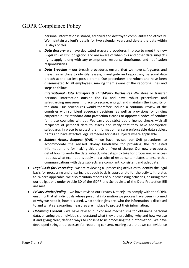personal information is stored, archived and destroyed compliantly and ethically. We maintain a client's details for two calendar years and delete the data within 30 days of this.

- o *Data Erasure:* we have dedicated erasure procedures in place to meet the new *'Right to Erasure'* obligation and are aware of when this and other data subject's rights apply; along with any exemptions, response timeframes and notification responsibilities.
- o *Data Breaches* our breach procedures ensure that we have safeguards and measures in place to identify, assess, investigate and report any personal data breach at the earliest possible time. Our procedures are robust and have been disseminated to all employees, making them aware of the reporting lines and steps to follow.
- o *International Data Transfers & Third-Party Disclosures* We store or transfer personal information outside the EU and have robust procedures and safeguarding measures in place to secure, encrypt and maintain the integrity of the data. Our procedures would therefore include a continual review of the countries with sufficient adequacy decisions, as well as provisions for binding corporate rules; standard data protection clauses or approved codes of conduct for those countries without. We carry out strict due diligence checks with all recipients of personal data to assess and verify that they have appropriate safeguards in place to protect the information, ensure enforceable data subject rights and have effective legal remedies for data subjects where applicable.
- o *Subject Access Request (SAR)* we have revised our SAR procedures to accommodate the revised 30-day timeframe for providing the requested information and for making this provision free of charge. Our new procedures detail how to verify the data subject, what steps to take for processing an access request, what exemptions apply and a suite of response templates to ensure that communications with data subjects are compliant, consistent and adequate.
- *Legal Basis for Processing* we are reviewing all processing activities to identify the legal basis for processing and ensuring that each basis is appropriate for the activity it relates to. Where applicable, we also maintain records of our processing activities, ensuring that our obligations under Article 30 of the GDPR and Schedule 1 of the Data Protection Bill are met.
- *Privacy Notice/Policy* we have revised our Privacy Notice(s) to comply with the GDPR, ensuring that all individuals whose personal information we process have been informed of why we need it, how it is used, what their rights are, who the information is disclosed to and what safeguarding measures are in place to protect their information.
- *Obtaining Consent* we have revised our consent mechanisms for obtaining personal data, ensuring that individuals understand what they are providing, why and how we use it and giving clear, defined ways to consent to us processing their information. We have developed stringent processes for recording consent, making sure that we can evidence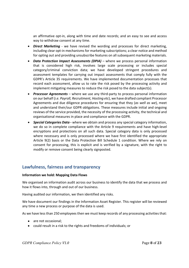an affirmative opt-in, along with time and date records; and an easy to see and access way to withdraw consent at any time.

- *Direct Marketing* we have revised the wording and processes for direct marketing, including clear opt-in mechanisms for marketing subscriptions; a clear notice and method for opting out and providing unsubscribe features on all subsequent marketing materials.
- *Data Protection Impact Assessments (DPIA)* where we process personal information that is considered high risk, involves large scale processing or includes special category/criminal conviction data; we have developed stringent procedures and assessment templates for carrying out impact assessments that comply fully with the GDPR's Article 35 requirements. We have implemented documentation processes that record each assessment, allow us to rate the risk posed by the processing activity and implement mitigating measures to reduce the risk posed to the data subject(s).
- *Processor Agreements* where we use any third-party to process personal information on our behalf (*i.e. Payroll, Recruitment, Hosting etc*), we have drafted compliant Processor Agreements and due diligence procedures for ensuring that they (*as well as we*), meet and understand their/our GDPR obligations. These measures include initial and ongoing reviews of the service provided, the necessity of the processing activity, the technical and organisational measures in place and compliance with the GDPR.
- *Special Categories Data* **-** where we obtain and process any special category information, we do so in complete compliance with the Article 9 requirements and have high-level encryptions and protections on all such data. Special category data is only processed where necessary and is only processed where we have first identified the appropriate Article 9(2) basis or the Data Protection Bill Schedule 1 condition. Where we rely on consent for processing, this is explicit and is verified by a signature, with the right to modify or remove consent being clearly signposted.

# **Lawfulness, fairness and transparency**

### **Information we hold: Mapping Data Flows**

We organised an information audit across our business to identify the data that we process and how it flows into, through and out of our business.

Having audited our information, we then identified any risks.

We have document our findings in the Information Asset Register. This register will be reviewed any time a new process or purpose of the data is used.

As we have less than 250 employees then we must keep records of any processing activities that:

- are not occasional;
- could result in a risk to the rights and freedoms of individuals; or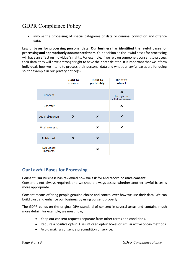involve the processing of special categories of data or criminal conviction and offence data.

**Lawful bases for processing personal data: Our business has identified the lawful bases for processing and appropriately documented them.** Our decision on the lawful bases for processing will have an effect on individual's rights. For example, if we rely on someone's consent to process their data, they will have a stronger right to have their data deleted. It is important that we inform individuals how we intend to process their personal data and what our lawful bases are for doing so, for example in our privacy notice(s).

|                         | <b>Right to</b><br>erasure | <b>Right to</b><br>portability | <b>Right to</b><br>object             |
|-------------------------|----------------------------|--------------------------------|---------------------------------------|
| Consent                 |                            |                                | x<br>but right to<br>withdraw consent |
| Contract                |                            |                                | x                                     |
| Legal obligation        | x                          | ×                              | ×                                     |
| Vital interests         |                            | ×                              | ×                                     |
| Public task             | ×                          | ×                              |                                       |
| Legitimate<br>interests |                            | x                              |                                       |

# **Our Lawful Bases for Processing**

# **Consent: Our business has reviewed how we ask for and record positive consent**

Consent is not always required, and we should always assess whether another lawful bases is more appropriate.

Consent means offering people genuine choice and control over how we use their data. We can build trust and enhance our business by using consent properly.

The GDPR builds on the original DPA standard of consent in several areas and contains much more detail. For example, we must now;

- Keep our consent requests separate from other terms and conditions.
- Require a positive opt-in. Use unticked opt-in boxes or similar active opt-in methods.
- Avoid making consent a precondition of service.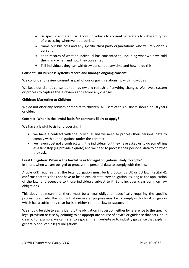- Be specific and granular. Allow individuals to consent separately to different types of processing wherever appropriate.
- Name our business and any specific third party organisations who will rely on this consent.
- Keep records of what an individual has consented to, including what we have told them, and when and how they consented.
- Tell individuals they can withdraw consent at any time and how to do this.

# **Consent: Our business systems record and manage ongoing consent**

We continue to review consent as part of our ongoing relationship with individuals.

We keep our client's consent under review and refresh it if anything changes. We have a system or process to capture these reviews and record any changes.

# **Children: Marketing to Children**

We do not offer any services or market to children. All users of this business should be 18 years or older.

# **Contract: When is the lawful basis for contracts likely to apply?**

We have a lawful basis for processing if:

- we have a contract with the individual and we need to process their personal data to comply with our obligations under the contract.
- we haven't yet got a contract with the individual, but they have asked us to do something as a first step (eg provide a quote) and we need to process their personal data to do what they ask.

# **Legal Obligation: When is the lawful basis for legal obligations likely to apply?**

In short, when we are obliged to process the personal data to comply with the law.

Article 6(3) requires that the legal obligation must be laid down by UK or EU law. Recital 41 confirms that this does not have to be an explicit statutory obligation, as long as the application of the law is foreseeable to those individuals subject to it. So it includes clear common law obligations.

This does not mean that there must be a legal obligation specifically requiring the specific processing activity. The point is that our overall purpose must be to comply with a legal obligation which has a sufficiently clear basis in either common law or statute.

We should be able to easily identify the obligation in question, either by reference to the specific legal provision or else by pointing to an appropriate source of advice or guidance that sets it out clearly. For example, we can refer to a government website or to industry guidance that explains generally applicable legal obligations.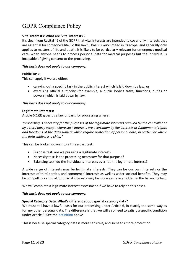# **Vital Interests: What are 'vital interests'?**

It's clear from Recital 46 of the GDPR that vital interests are intended to cover only interests that are essential for someone's life. So this lawful basis is very limited in its scope, and generally only applies to matters of life and death. It is likely to be particularly relevant for emergency medical care, when anyone needs to process personal data for medical purposes but the individual is incapable of giving consent to the processing.

#### *This basis does not apply to our company.*

#### **Public Task:**

This can apply if we are either:

- carrying out a specific task in the public interest which is laid down by law; or
- exercising official authority (for example, a public body's tasks, functions, duties or powers) which is laid down by law.

#### *This basis does not apply to our company.*

#### **Legitimate Interests:**

Article 6(1)(f) gives us a lawful basis for processing where:

*"processing is necessary for the purposes of the legitimate interests pursued by the controller or by a third party except where such interests are overridden by the interests or fundamental rights and freedoms of the data subject which require protection of personal data, in particular where the data subject is a child."*

This can be broken down into a three-part test:

- Purpose test: are we pursuing a legitimate interest?
- Necessity test: is the processing necessary for that purpose?
- Balancing test: do the individual's interests override the legitimate interest?

A wide range of interests may be legitimate interests. They can be our own interests or the interests of third parties, and commercial interests as well as wider societal benefits. They may be compelling or trivial, but trivial interests may be more easily overridden in the balancing test.

We will complete a legitimate interest assessment if we have to rely on this bases.

#### *This basis does not apply to our company.*

### **Special Category Data: What's different about special category data?**

We must still have a lawful basis for our processing under Article 6, in exactly the same way as for any other personal data. The difference is that we will also need to satisfy a specific condition under Article 9. See the definition above

This is because special category data is more sensitive, and so needs more protection.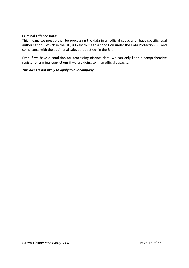### **Criminal Offence Data:**

This means we must either be processing the data in an official capacity or have specific legal authorisation – which in the UK, is likely to mean a condition under the Data Protection Bill and compliance with the additional safeguards set out in the Bill.

Even if we have a condition for processing offence data, we can only keep a comprehensive register of criminal convictions if we are doing so in an official capacity.

### *This basis is not likely to apply to our company.*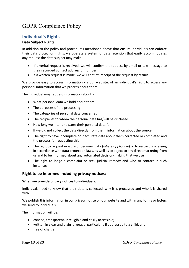# **Individual's Rights**

# **Data Subject Rights**

In addition to the policy and procedures mentioned above that ensure individuals can enforce their data protection rights, we operate a system of data retention that easily accommodates any request the data subject may make.

- If a verbal request is received, we will confirm the request by email or text message to their recorded contact address or number.
- If a written request is made, we will confirm receipt of the request by return.

We provide easy to access information via our website, of an individual's right to access any personal information that we process about them.

The individual may request information about: -

- What personal data we hold about them
- The purposes of the processing
- The categories of personal data concerned
- The recipients to whom the personal data has/will be disclosed
- How long we intend to store their personal data for
- If we did not collect the data directly from them, information about the source
- The right to have incomplete or inaccurate data about them corrected or completed and the process for requesting this
- The right to request erasure of personal data (*where applicable*) or to restrict processing in accordance with data protection laws, as well as to object to any direct marketing from us and to be informed about any automated decision-making that we use
- The right to lodge a complaint or seek judicial remedy and who to contact in such instances

# **Right to be informed including privacy notices:**

# **When we provide privacy notices to individuals.**

Individuals need to know that their data is collected, why it is processed and who it is shared with.

We publish this information in our privacy notice on our website and within any forms or letters we send to individuals.

The information will be:

- concise, transparent, intelligible and easily accessible;
- written in clear and plain language, particularly if addressed to a child; and
- free of charge.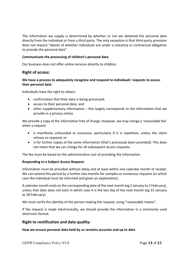The information we supply is determined by whether or not we obtained the personal data directly from the individual or from a third party. The only exception is that third-party provision does not require "details of whether individuals are under a statutory or contractual obligation to provide the personal data".

### **Communicate the processing of children's personal data**

Our business does not offer online services directly to children.

# **Right of access:**

### **We have a process to adequately recognise and respond to individuals' requests to access their personal data**

Individuals have the right to obtain:

- confirmation that their data is being processed;
- access to their personal data; and
- other supplementary information this largely corresponds to the information that we provide in a privacy notice.

We provide a copy of the information free of charge. However, we may charge a 'reasonable fee' when a request:

- is manifestly unfounded or excessive, particularly if it is repetitive, unless the client refuses to respond; or
- is for further copies of the same information (that's previously been provided). This does not mean that we can charge for all subsequent access requests.

The fee must be based on the administrative cost of providing the information.

### **Responding to a Subject Access Request:**

Information must be provided without delay and at least within one calendar month of receipt. We can extend this period by a further two months for complex or numerous requests (in which case the individual must be informed and given an explanation).

A calendar month ends on the corresponding date of the next month (eg 2 January to 2 February), unless that date does not exist in which case it is the last day of the next month (eg 31 January to 28 February).

We must verify the identity of the person making the request, using "reasonable means".

If the request is made electronically, we should provide the information in a commonly used electronic format.

# **Right to rectification and data quality:**

### **How we ensure personal data held by us remains accurate and up to date**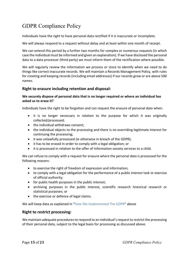Individuals have the right to have personal data rectified if it is inaccurate or incomplete.

We will always respond to a request without delay and at least within one month of receipt.

We can extend this period by a further two months for complex or numerous requests (in which case the individual must be informed and given an explanation). If we have disclosed the personal data to a data processor (third party) we must inform them of the rectification where possible.

We will regularly review the information we process or store to identify when we need to do things like correct inaccurate records. We will maintain a Records Management Policy, with rules for creating and keeping records (including email addresses) if our records grow or are above 500 names.

# **Right to erasure including retention and disposal:**

### **We securely dispose of personal data that is no longer required or where an individual has asked us to erase it?**

Individuals have the right to be forgotten and can request the erasure of personal data when:

- it is no longer necessary in relation to the purpose for which it was originally collected/processed;
- the individual withdraws consent;
- the individual objects to the processing and there is no overriding legitimate interest for continuing the processing;
- it was unlawfully processed (ie otherwise in breach of the GDPR);
- it has to be erased in order to comply with a legal obligation; or
- it is processed in relation to the offer of information society services to a child.

We can refuse to comply with a request for erasure where the personal data is processed for the following reasons:

- to exercise the right of freedom of expression and information;
- to comply with a legal obligation for the performance of a public interest task or exercise of official authority;
- for public health purposes in the public interest;
- archiving purposes in the public interest, scientific research historical research or statistical purposes; or
- the exercise or defence of legal claims.

We will keep data as explained in "How We Implemented The GDPR" above

# **Right to restrict processing:**

We maintain adequate procedures to respond to an individual's request to restrict the processing of their personal data, subject to the legal basis for processing as discussed above.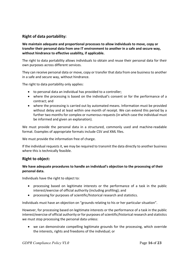# **Right of data portability:**

# **We maintain adequate and proportional processes to allow individuals to move, copy or transfer their personal data from one IT environment to another in a safe and secure way, without hindrance to effective usability, if applicable.**

The right to data portability allows individuals to obtain and reuse their personal data for their own purposes across different services.

They can receive personal data or move, copy or transfer that data from one business to another in a safe and secure way, without hindrance.

The right to data portability only applies:

- to personal data an individual has provided to a controller;
- where the processing is based on the individual's consent or for the performance of a contract; and
- where the processing is carried out by automated means. Information must be provided without delay and at least within one month of receipt. We can extend this period by a further two months for complex or numerous requests (in which case the individual must be informed and given an explanation).

We must provide the personal data in a structured, commonly used and machine-readable format. Examples of appropriate formats include CSV and XML files.

We must provide the information free of charge.

If the individual requests it, we may be required to transmit the data directly to another business where this is technically feasible.

# **Right to object:**

# **We have adequate procedures to handle an individual's objection to the processing of their personal data.**

Individuals have the right to object to:

- processing based on legitimate interests or the performance of a task in the public interest/exercise of official authority (including profiling); and
- processing for purposes of scientific/historical research and statistics.

Individuals must have an objection on "grounds relating to his or her particular situation".

However, for processing based on legitimate interests or the performance of a task in the public interest/exercise of official authority or for purposes of scientific/historical research and statistics we must stop processing the personal data unless:

 we can demonstrate compelling legitimate grounds for the processing, which override the interests, rights and freedoms of the individual; or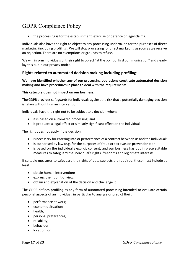• the processing is for the establishment, exercise or defence of legal claims.

Individuals also have the right to object to any processing undertaken for the purposes of direct marketing (including profiling). We will stop processing for direct marketing as soon as we receive an objection. There are no exemptions or grounds to refuse.

We will inform individuals of their right to object "at the point of first communication" and clearly lay this out in our privacy notice.

# **Rights related to automated decision making including profiling:**

**We have identified whether any of our processing operations constitute automated decision making and have procedures in place to deal with the requirements.** 

### **This category does not impact on our business.**

The GDPR provides safeguards for individuals against the risk that a potentially damaging decision is taken without human intervention.

Individuals have the right not to be subject to a decision when:

- it is based on automated processing; and
- it produces a legal effect or similarly significant effect on the individual.

The right does not apply if the decision:

- is necessary for entering into or performance of a contract between us and the individual;
- is authorised by law (e.g. for the purposes of fraud or tax evasion prevention); or
- is based on the individual's explicit consent, and our business has put in place suitable measures to safeguard the individual's rights, freedoms and legitimate interests.

If suitable measures to safeguard the rights of data subjects are required, these must include at least:

- obtain human intervention;
- express their point of view;
- obtain and explanation of the decision and challenge it.

The GDPR defines profiling as any form of automated processing intended to evaluate certain personal aspects of an individual, in particular to analyse or predict their:

- performance at work;
- economic situation;
- health:
- personal preferences;
- reliability;
- behaviour;
- location; or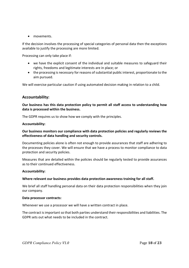• movements.

If the decision involves the processing of special categories of personal data then the exceptions available to justify the processing are more limited.

Processing can only take place if:

- we have the explicit consent of the individual and suitable measures to safeguard their rights, freedoms and legitimate interests are in place; or
- the processing is necessary for reasons of substantial public interest, proportionate to the aim pursued.

We will exercise particular caution if using automated decision making in relation to a child.

# **Accountability:**

### **Our business has this data protection policy to permit all staff access to understanding how data is processed within the business.**

The GDPR requires us to show how we comply with the principles.

#### **Accountability:**

### **Our business monitors our compliance with data protection policies and regularly reviews the effectiveness of data handling and security controls.**

Documenting policies alone is often not enough to provide assurances that staff are adhering to the processes they cover. We will ensure that we have a process to monitor compliance to data protection and security policies.

Measures that are detailed within the policies should be regularly tested to provide assurances as to their continued effectiveness.

### **Accountability:**

### **Where relevant our business provides data protection awareness training for all staff.**

We brief all staff handling personal data on their data protection responsibilities when they join our company.

#### **Data processor contracts:**

Whenever we use a processor we will have a written contract in place.

The contract is important so that both parties understand their responsibilities and liabilities. The GDPR sets out what needs to be included in the contract.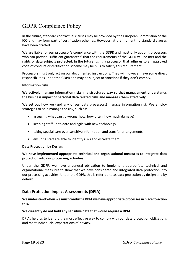In the future, standard contractual clauses may be provided by the European Commission or the ICO and may form part of certification schemes. However, at the moment no standard clauses have been drafted.

We are liable for our processor's compliance with the GDPR and must only appoint processors who can provide 'sufficient guarantees' that the requirements of the GDPR will be met and the rights of data subjects protected. In the future, using a processor that adheres to an approved code of conduct or certification scheme may help us to satisfy this requirement.

Processors must only act on our documented instructions. They will however have some direct responsibilities under the GDPR and may be subject to sanctions if they don't comply.

### **Information risks:**

# **We actively manage information risks in a structured way so that management understands the business impact of personal data related risks and manages them effectively.**

We set out how we (and any of our data processors) manage information risk. We employ strategies to help manage the risk, such as:

- assessing what can go wrong (how, how often, how much damage)
- keeping staff up to date and agile with new technology
- taking special care over sensitive information and transfer arrangements
- ensuring staff are able to identify risks and escalate them

### **Data Protection by Design:**

### **We have implemented appropriate technical and organisational measures to integrate data protection into our processing activities.**

Under the GDPR, we have a general obligation to implement appropriate technical and organisational measures to show that we have considered and integrated data protection into our processing activities. Under the GDPR, this is referred to as data protection by design and by default.

# **Data Protection Impact Assessments (DPIA):**

### **We understand when we must conduct a DPIA we have appropriate processes in place to action this.**

### **We currently do not hold any sensitive data that would require a DPIA.**

DPIAs help us to identify the most effective way to comply with our data protection obligations and meet individuals' expectations of privacy.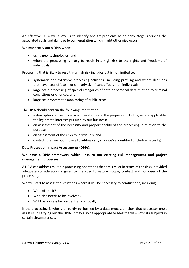An effective DPIA will allow us to identify and fix problems at an early stage, reducing the associated costs and damage to our reputation which might otherwise occur.

We must carry out a DPIA when:

- using new technologies; and
- when the processing is likely to result in a high risk to the rights and freedoms of individuals.

Processing that is likely to result in a high risk includes but is not limited to:

- systematic and extensive processing activities, including profiling and where decisions that have legal effects – or similarly significant effects – on individuals;
- large scale processing of special categories of data or personal data relation to criminal convictions or offences; and
- large scale systematic monitoring of public areas.

The DPIA should contain the following information:

- a description of the processing operations and the purposes including, where applicable, the legitimate interests pursued by our business;
- an assessment of the necessity and proportionality of the processing in relation to the purpose;
- an assessment of the risks to individuals; and
- controls that we put in place to address any risks we've identified (including security)

### **Data Protection Impact Assessments (DPIA):**

# **We have a DPIA framework which links to our existing risk management and project management processes.**

A DPIA can address multiple processing operations that are similar in terms of the risks, provided adequate consideration is given to the specific nature, scope, context and purposes of the processing.

We will start to assess the situations where it will be necessary to conduct one, including:

- Who will do it?
- Who else needs to be involved?
- Will the process be run centrally or locally?

If the processing is wholly or partly performed by a data processor, then that processor must assist us in carrying out the DPIA. It may also be appropriate to seek the views of data subjects in certain circumstances.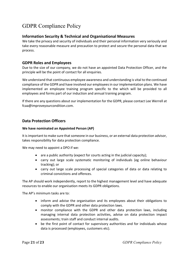# **Information Security & Technical and Organisational Measures**

We take the privacy and security of individuals and their personal information very seriously and take every reasonable measure and precaution to protect and secure the personal data that we process.

# **GDPR Roles and Employees**

Due to the size of our company, we do not have an appointed Data Protection Officer, and the principle will be the point of contact for all enquiries.

We understand that continuous employee awareness and understanding is vital to the continued compliance of the GDPR and have involved our employees in our implementation plans. We have implemented an employee training program specific to the which will be provided to all employees and forms part of our induction and annual training program.

If there are any questions about our implementation for the GDPR, please contact Lee Werrell at fcaa@improveyourcondition.com.

# **Data Protection Officers**

### **We have nominated an Appointed Person (AP)**

It is important to make sure that someone in our business, or an external data protection advisor, takes responsibility for data protection compliance.

We may need to appoint a DPO if we:

- are a public authority (expect for courts acting in the judicial capacity);
- carry out large scale systematic monitoring of individuals (eg online behaviour tracking); or
- carry out large scale processing of special categories of data or data relating to criminal convictions and offences.

The AP should work independently, report to the highest management level and have adequate resources to enable our organisation meets its GDPR obligations.

The AP's minimum tasks are to:

- inform and advise the organisation and its employees about their obligations to comply with the GDPR and other data protection laws.
- monitor compliance with the GDPR and other data protection laws, including managing internal data protection activities, advise on data protection impact assessments; train staff and conduct internal audits.
- be the first point of contact for supervisory authorities and for individuals whose data is processed (employees, customers etc).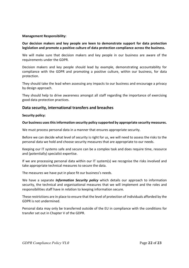### **Management Responsibility:**

### **Our decision makers and key people are keen to demonstrate support for data protection legislation and promote a positive culture of data protection compliance across the business.**

We will make sure that decision makers and key people in our business are aware of the requirements under the GDPR.

Decision makers and key people should lead by example, demonstrating accountability for compliance with the GDPR and promoting a positive culture, within our business, for data protection.

They should take the lead when assessing any impacts to our business and encourage a privacy by design approach.

They should help to drive awareness amongst all staff regarding the importance of exercising good data protection practices.

### **Data security, international transfers and breaches**

#### **Security policy:**

#### **Our business uses thisinformation security policy supported by appropriate security measures.**

We must process personal data in a manner that ensures appropriate security.

Before we can decide what level of security is right for us, we will need to assess the risks to the personal data we hold and choose security measures that are appropriate to our needs.

Keeping our IT systems safe and secure can be a complex task and does require time, resource and (potentially) specialist expertise.

If we are processing personal data within our IT system(s) we recognise the risks involved and take appropriate technical measures to secure the data.

The measures we have put in place fit our business's needs.

We have a separate *Information Security policy* which details our approach to information security, the technical and organisational measures that we will implement and the roles and responsibilities staff have in relation to keeping information secure.

These restrictions are in place to ensure that the level of protection of individuals afforded by the GDPR is not undermined.

Personal data may only be transferred outside of the EU in compliance with the conditions for transfer set out in Chapter V of the GDPR.